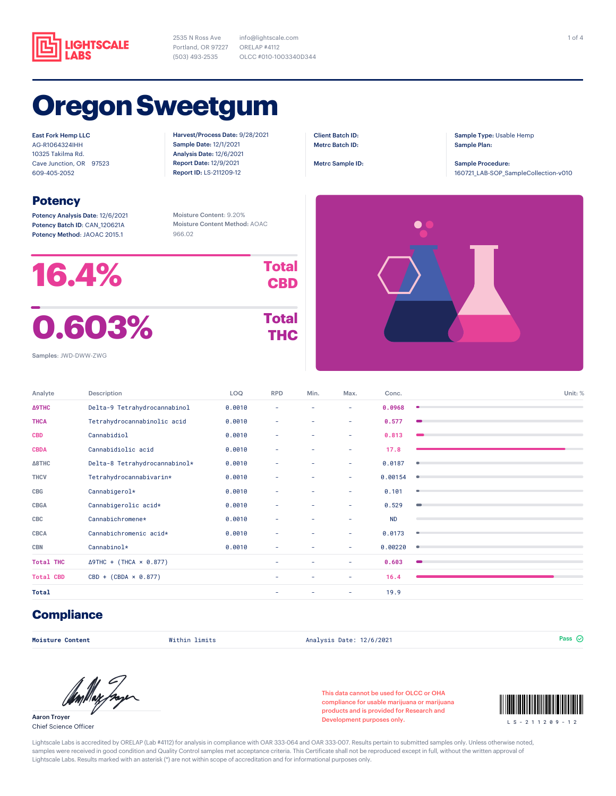

2535 N Ross Ave Portland, OR 97227 (503) 493-2535

info@lightscale.com ORELAP #4112 OLCC #010-1003340D344

# **Oregon Sweetgum**

East Fork Hemp LLC AG-R1064324IHH 10325 Takilma Rd. Cave Junction, OR 97523 609-405-2052

#### **Potency**

Potency Analysis Date: 12/6/2021 Potency Batch ID: CAN\_120621A Potency Method: JAOAC 2015.1

Harvest/Process Date: 9/28/2021 Sample Date: 12/1/2021 Analysis Date: 12/6/2021 Report Date: 12/9/2021 Report ID: LS-211209-12

Client Batch ID: Metrc Batch ID:

Metrc Sample ID:

 $\bullet$ 

Sample Type: Usable Hemp Sample Plan:

Sample Procedure: 160721\_LAB-SOP\_SampleCollection-v010

Moisture Content: 9.20% Moisture Content Method: AOAC 966.02



Samples: JWD-DWW-ZWG

| Analyte          | Description                    | <b>LOQ</b> | <b>RPD</b> | Min. | Max. | Conc.     | Unit: %        |
|------------------|--------------------------------|------------|------------|------|------|-----------|----------------|
|                  |                                |            |            |      |      |           |                |
| <b>Δ9THC</b>     | Delta-9 Tetrahydrocannabinol   | 0.0010     | ٠          | ۰    | ٠    | 0.0968    | ۰              |
| <b>THCA</b>      | Tetrahydrocannabinolic acid    | 0.0010     | ٠          | ۰    | ٠    | 0.577     |                |
| <b>CBD</b>       | Cannabidiol                    | 0.0010     | ٠          | ٠    | ٠    | 0.813     |                |
| <b>CBDA</b>      | Cannabidiolic acid             | 0.0010     | ٠          | ٠    | ٠    | 17.8      |                |
| <b>∆8THC</b>     | Delta-8 Tetrahydrocannabinol*  | 0.0010     | ٠          | ٠    | ٠    | 0.0187    | ۰              |
| <b>THCV</b>      | Tetrahydrocannabivarin*        | 0.0010     | ٠          | ۰    | ٠    | 0.00154   | ۰              |
| CBG              | Cannabigerol*                  | 0.0010     | ٠          | ۰    | ٠    | 0.101     | ۰              |
| <b>CBGA</b>      | Cannabigerolic acid*           | 0.0010     | ٠          | ٠    | ٠    | 0.529     | $\blacksquare$ |
| CBC              | Cannabichromene*               | 0.0010     | ٠          | ۰    | ٠    | <b>ND</b> |                |
| <b>CBCA</b>      | Cannabichromenic acid*         | 0.0010     | ٠          | ٠    | ٠    | 0.0173    | ۰              |
| <b>CBN</b>       | Cannabinol*                    | 0.0010     | ٠          | ٠    | ٠    | 0.00220   | ٠              |
| <b>Total THC</b> | $\Delta$ 9THC + (THCA × 0.877) |            | ٠          | ٠    | ٠    | 0.603     |                |
| <b>Total CBD</b> | $CBD + (CBDA \times 0.877)$    |            | ٠          | ٠    | ٠    | 16.4      |                |
| <b>Total</b>     |                                |            | -          |      | ٠    | 19.9      |                |

### **Compliance**

**Moisture Content** Within limits Analysis Date: 12/6/2021 Pass

Aaron Troyer Chief Science Officer

This data cannot be used for OLCC or OHA compliance for usable marijuana or marijuana products and is provided for Research and Development purposes only.<br>  $\begin{array}{ccc} 1 & S - 2 & 1 & 1 & 2 & 0 & 9 & -1 \\ 2 & 1 & 1 & 2 & 0 & 9 & -1 \end{array}$ 



Lightscale Labs is accredited by ORELAP (Lab #4112) for analysis in compliance with OAR 333-064 and OAR 333-007. Results pertain to submitted samples only. Unless otherwise noted, samples were received in good condition and Quality Control samples met acceptance criteria. This Certificate shall not be reproduced except in full, without the written approval of Lightscale Labs. Results marked with an asterisk (\*) are not within scope of accreditation and for informational purposes only.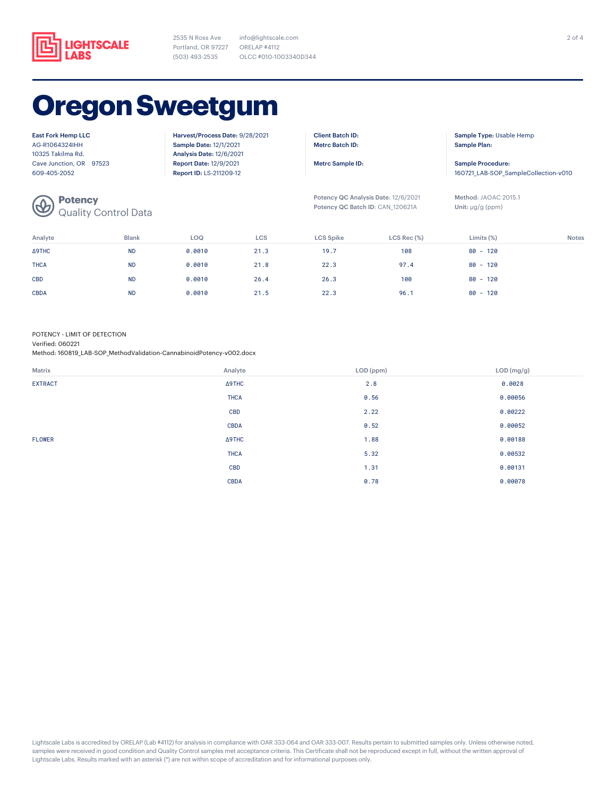

2535 N Ross Ave Portland, OR 97227 ORELAP #4112 (503) 493-2535

info@lightscale.com OLCC #010-1003340D344

# **Oregon Sweetgum**

East Fork Hemp LLC AG-R1064324IHH 10325 Takilma Rd. Cave Junction, OR 97523 609-405-2052

**Potency**

Quality Control Data

Harvest/Process Date: 9/28/2021 Sample Date: 12/1/2021 Analysis Date: 12/6/2021 Report Date: 12/9/2021 Report ID: LS-211209-12

Client Batch ID: Metrc Batch ID:

Metrc Sample ID:

Potency QC Analysis Date: 12/6/2021 Potency QC Batch ID: CAN\_120621A

Sample Type: Usable Hemp Sample Plan:

Sample Procedure: 160721\_LAB-SOP\_SampleCollection-v010

Method: JAOAC 2015.1 Unit: μg/g (ppm)

| Analyte     | <b>Blank</b> | LOQ    | LCS  | <b>LCS Spike</b> | $LCS$ Rec $(\%)$ | Limits $(\%)$ | <b>Notes</b> |
|-------------|--------------|--------|------|------------------|------------------|---------------|--------------|
| Δ9THC       | <b>ND</b>    | 0.0010 | 21.3 | 19.7             | 108              | $80 - 120$    |              |
| <b>THCA</b> | <b>ND</b>    | 0.0010 | 21.8 | 22.3             | 97.4             | $80 - 120$    |              |
| <b>CBD</b>  | <b>ND</b>    | 0.0010 | 26.4 | 26.3             | 100              | $80 - 120$    |              |
| <b>CBDA</b> | <b>ND</b>    | 0.0010 | 21.5 | 22.3             | 96.1             | $80 - 120$    |              |

#### POTENCY - LIMIT OF DETECTION

Verified: 060221

Method: 160819\_LAB-SOP\_MethodValidation-CannabinoidPotency-v002.docx

| Matrix         | Analyte     | LOD (ppm) | LOD (mg/g) |
|----------------|-------------|-----------|------------|
| <b>EXTRACT</b> | Δ9THC       | 2.8       | 0.0028     |
|                | <b>THCA</b> | 0.56      | 0.00056    |
|                | <b>CBD</b>  | 2.22      | 0.00222    |
|                | <b>CBDA</b> | 0.52      | 0.00052    |
| <b>FLOWER</b>  | ∆9THC       | 1.88      | 0.00188    |
|                | <b>THCA</b> | 5.32      | 0.00532    |
|                | <b>CBD</b>  | 1.31      | 0.00131    |
|                | <b>CBDA</b> | 0.78      | 0.00078    |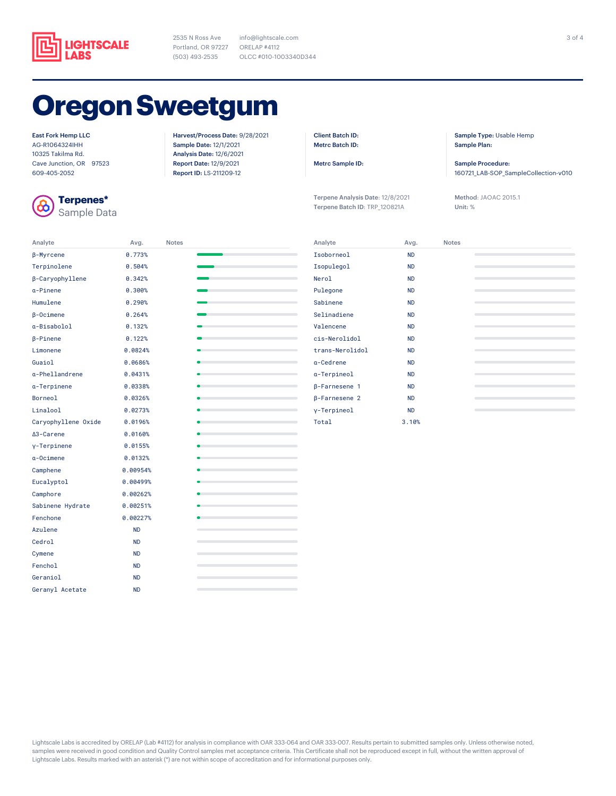

2535 N Ross Ave Portland, OR 97227 ORELAP #4112 (503) 493-2535

info@lightscale.com OLCC #010-1003340D344

# **Oregon Sweetgum**

East Fork Hemp LLC

AG-R1064324IHH 10325 Takilma Rd. Cave Junction, OR 97523 609-405-2052



**Terpenes\*** Sample Data Harvest/Process Date: 9/28/2021 Sample Date: 12/1/2021 Analysis Date: 12/6/2021 Report Date: 12/9/2021 Report ID: LS-211209-12

Client Batch ID: Metrc Batch ID:

Metrc Sample ID:

Terpene Analysis Date: 12/8/2021 Terpene Batch ID: TRP\_120821A

Sample Type: Usable Hemp Sample Plan:

Sample Procedure: 160721\_LAB-SOP\_SampleCollection-v010

Method: JAOAC 2015.1 Unit: %

| Analyte             | Avg.      | <b>Notes</b> |   |
|---------------------|-----------|--------------|---|
| β-Myrcene           | 0.773%    |              |   |
| Terpinolene         | 0.504%    |              |   |
| β-Caryophyllene     | 0.342%    |              |   |
| a-Pinene            | 0.300%    |              |   |
| Humulene            | 0.290%    |              |   |
| $\beta$ -Ocimene    | 0.264%    |              |   |
| a-Bisabolol         | 0.132%    |              |   |
| $\beta$ -Pinene     | 0.122%    |              |   |
| Limonene            | 0.0824%   |              |   |
| Guaiol              | 0.0686%   |              |   |
| a-Phellandrene      | 0.0431%   |              |   |
| a-Terpinene         | 0.0338%   |              |   |
| Borneol             | 0.0326%   |              |   |
| Linalool            | 0.0273%   |              |   |
| Caryophyllene Oxide | 0.0196%   |              |   |
| ∆3-Carene           | 0.0160%   |              |   |
| y-Terpinene         | 0.0155%   |              |   |
| a-Ocimene           | 0.0132%   |              |   |
| Camphene            | 0.00954%  |              |   |
| Eucalyptol          | 0.00499%  |              |   |
| Camphore            | 0.00262%  |              |   |
| Sabinene Hydrate    | 0.00251%  |              |   |
| Fenchone            | 0.00227%  |              |   |
| Azulene             | <b>ND</b> |              |   |
| Cedrol              | <b>ND</b> |              |   |
| Cymene              | <b>ND</b> |              |   |
| Fenchol             | <b>ND</b> |              |   |
| Geraniol            | <b>ND</b> |              |   |
| Geranyl Acetate     | <b>ND</b> |              | ۰ |

| Analyte              | Avg.      | <b>Notes</b> |  |
|----------------------|-----------|--------------|--|
| Isoborneol           | <b>ND</b> |              |  |
| Isopulegol           | <b>ND</b> |              |  |
| Nerol                | <b>ND</b> |              |  |
| Pulegone             | <b>ND</b> |              |  |
| Sabinene             | <b>ND</b> |              |  |
| Selinadiene          | <b>ND</b> |              |  |
| Valencene            | <b>ND</b> |              |  |
| cis-Nerolidol        | <b>ND</b> |              |  |
| trans-Nerolidol      | <b>ND</b> |              |  |
| a-Cedrene            | <b>ND</b> |              |  |
| a-Terpineol          | <b>ND</b> |              |  |
| $\beta$ -Farnesene 1 | <b>ND</b> |              |  |
| $\beta$ -Farnesene 2 | <b>ND</b> |              |  |
| y-Terpineol          | <b>ND</b> |              |  |
| Total                | 3.10%     |              |  |

 $\sim$